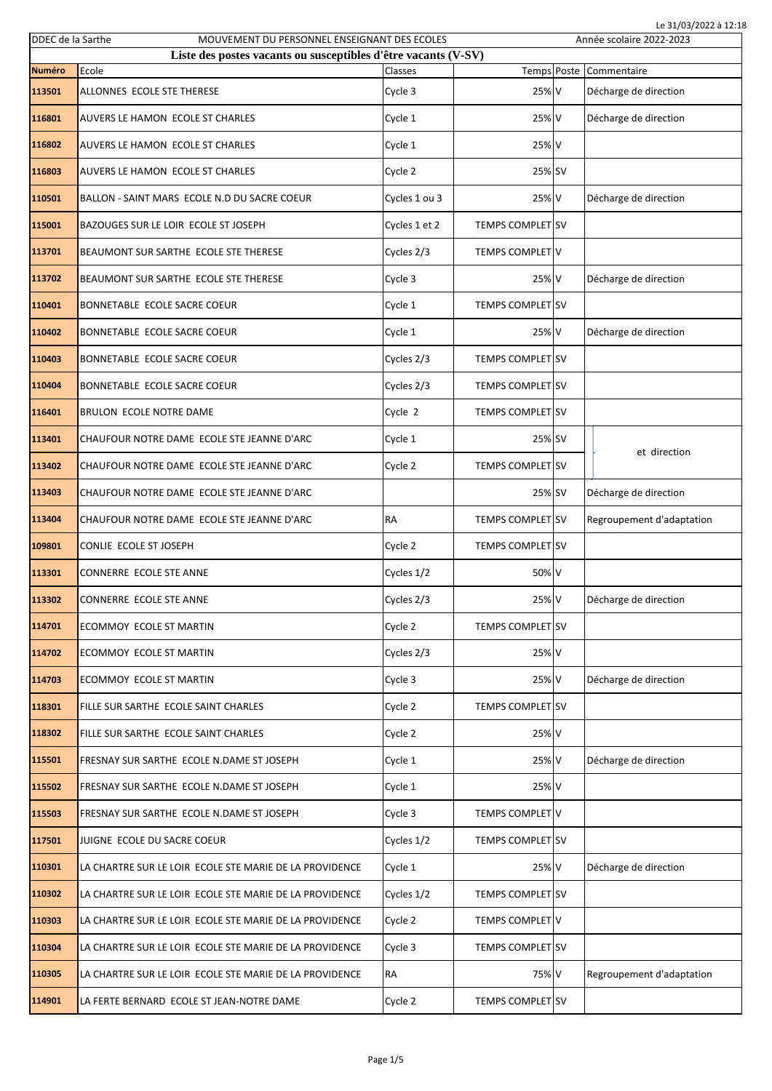| Le 31/03/2022 à 12:18<br>DDEC de la Sarthe<br>MOUVEMENT DU PERSONNEL ENSEIGNANT DES ECOLES<br>Année scolaire 2022-2023 |                                                         |               |                         |  |                           |
|------------------------------------------------------------------------------------------------------------------------|---------------------------------------------------------|---------------|-------------------------|--|---------------------------|
| Liste des postes vacants ou susceptibles d'être vacants (V-SV)                                                         |                                                         |               |                         |  |                           |
| <b>Numéro</b>                                                                                                          | Ecole                                                   | Classes       | Temps Poste             |  | Commentaire               |
| 113501                                                                                                                 | ALLONNES ECOLE STE THERESE                              | Cycle 3       | 25% V                   |  | Décharge de direction     |
| 116801                                                                                                                 | AUVERS LE HAMON ECOLE ST CHARLES                        | Cycle 1       | 25% V                   |  | Décharge de direction     |
| 116802                                                                                                                 | AUVERS LE HAMON ECOLE ST CHARLES                        | Cycle 1       | 25% V                   |  |                           |
| 116803                                                                                                                 | AUVERS LE HAMON ECOLE ST CHARLES                        | Cycle 2       | 25% SV                  |  |                           |
| 110501                                                                                                                 | BALLON - SAINT MARS ECOLE N.D DU SACRE COEUR            | Cycles 1 ou 3 | 25% V                   |  | Décharge de direction     |
| 115001                                                                                                                 | BAZOUGES SUR LE LOIR ECOLE ST JOSEPH                    | Cycles 1 et 2 | <b>TEMPS COMPLET SV</b> |  |                           |
| 113701                                                                                                                 | BEAUMONT SUR SARTHE ECOLE STE THERESE                   | Cycles 2/3    | <b>TEMPS COMPLET V</b>  |  |                           |
| 113702                                                                                                                 | BEAUMONT SUR SARTHE ECOLE STE THERESE                   | Cycle 3       | 25% V                   |  | Décharge de direction     |
| 110401                                                                                                                 | BONNETABLE ECOLE SACRE COEUR                            | Cycle 1       | <b>TEMPS COMPLET SV</b> |  |                           |
| 110402                                                                                                                 | BONNETABLE ECOLE SACRE COEUR                            | Cycle 1       | 25% V                   |  | Décharge de direction     |
| 110403                                                                                                                 | BONNETABLE ECOLE SACRE COEUR                            | Cycles 2/3    | <b>TEMPS COMPLET SV</b> |  |                           |
| 110404                                                                                                                 | BONNETABLE ECOLE SACRE COEUR                            | Cycles 2/3    | <b>TEMPS COMPLET SV</b> |  |                           |
| 116401                                                                                                                 | BRULON ECOLE NOTRE DAME                                 | Cycle 2       | <b>TEMPS COMPLET SV</b> |  |                           |
| 113401                                                                                                                 | CHAUFOUR NOTRE DAME ECOLE STE JEANNE D'ARC              | Cycle 1       | 25% SV                  |  | et direction              |
| 113402                                                                                                                 | CHAUFOUR NOTRE DAME ECOLE STE JEANNE D'ARC              | Cycle 2       | <b>TEMPS COMPLET SV</b> |  |                           |
| 113403                                                                                                                 | CHAUFOUR NOTRE DAME ECOLE STE JEANNE D'ARC              |               | 25% SV                  |  | Décharge de direction     |
| 113404                                                                                                                 | CHAUFOUR NOTRE DAME ECOLE STE JEANNE D'ARC              | RA            | <b>TEMPS COMPLET SV</b> |  | Regroupement d'adaptation |
| 109801                                                                                                                 | CONLIE ECOLE ST JOSEPH                                  | Cycle 2       | <b>TEMPS COMPLET SV</b> |  |                           |
| 113301                                                                                                                 | CONNERRE ECOLE STE ANNE                                 | Cycles 1/2    | 50% V                   |  |                           |
| 113302                                                                                                                 | CONNERRE ECOLE STE ANNE                                 | Cycles 2/3    | 25% V                   |  | Décharge de direction     |
| 114701                                                                                                                 | ECOMMOY ECOLE ST MARTIN                                 | Cycle 2       | TEMPS COMPLET SV        |  |                           |
| 114702                                                                                                                 | ECOMMOY ECOLE ST MARTIN                                 | Cycles 2/3    | 25% V                   |  |                           |
| 114703                                                                                                                 | ECOMMOY ECOLE ST MARTIN                                 | Cycle 3       | 25% V                   |  | Décharge de direction     |
| 118301                                                                                                                 | FILLE SUR SARTHE ECOLE SAINT CHARLES                    | Cycle 2       | <b>TEMPS COMPLET SV</b> |  |                           |
| 118302                                                                                                                 | FILLE SUR SARTHE ECOLE SAINT CHARLES                    | Cycle 2       | 25% V                   |  |                           |
| 115501                                                                                                                 | FRESNAY SUR SARTHE ECOLE N.DAME ST JOSEPH               | Cycle 1       | 25% V                   |  | Décharge de direction     |
| 115502                                                                                                                 | FRESNAY SUR SARTHE ECOLE N.DAME ST JOSEPH               | Cycle 1       | 25% V                   |  |                           |
| 115503                                                                                                                 | FRESNAY SUR SARTHE ECOLE N.DAME ST JOSEPH               | Cycle 3       | TEMPS COMPLET V         |  |                           |
| 117501                                                                                                                 | JUIGNE ECOLE DU SACRE COEUR                             | Cycles 1/2    | <b>TEMPS COMPLET SV</b> |  |                           |
| 110301                                                                                                                 | LA CHARTRE SUR LE LOIR ECOLE STE MARIE DE LA PROVIDENCE | Cycle 1       | 25% V                   |  | Décharge de direction     |
| 110302                                                                                                                 | LA CHARTRE SUR LE LOIR ECOLE STE MARIE DE LA PROVIDENCE | Cycles 1/2    | <b>TEMPS COMPLET SV</b> |  |                           |
| 110303                                                                                                                 | LA CHARTRE SUR LE LOIR ECOLE STE MARIE DE LA PROVIDENCE | Cycle 2       | TEMPS COMPLET V         |  |                           |
| 110304                                                                                                                 | LA CHARTRE SUR LE LOIR ECOLE STE MARIE DE LA PROVIDENCE | Cycle 3       | TEMPS COMPLET SV        |  |                           |
| 110305                                                                                                                 | LA CHARTRE SUR LE LOIR ECOLE STE MARIE DE LA PROVIDENCE | RA            | 75% V                   |  | Regroupement d'adaptation |
| 114901                                                                                                                 | LA FERTE BERNARD ECOLE ST JEAN-NOTRE DAME               | Cycle 2       | TEMPS COMPLET SV        |  |                           |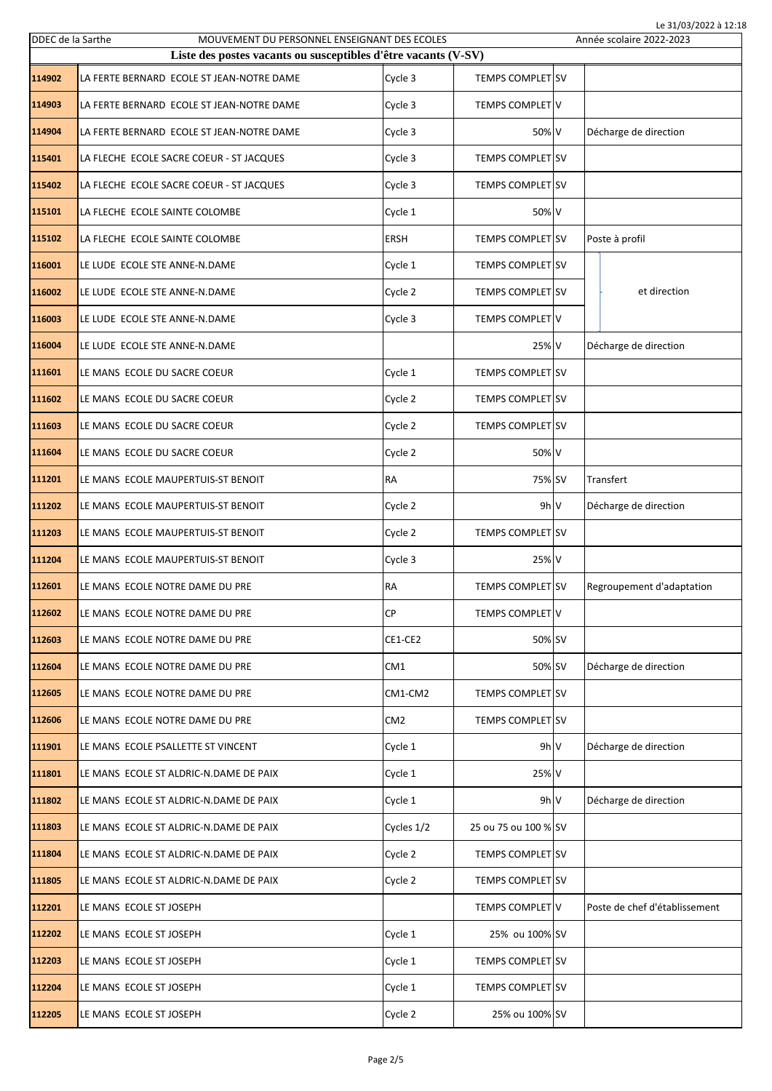| DDEC de la Sarthe | MOUVEMENT DU PERSONNEL ENSEIGNANT DES ECOLES                   |                 |                          | Le 31/03/2022 à 12:18<br>Année scolaire 2022-2023 |
|-------------------|----------------------------------------------------------------|-----------------|--------------------------|---------------------------------------------------|
|                   | Liste des postes vacants ou susceptibles d'être vacants (V-SV) |                 |                          |                                                   |
| 114902            | LA FERTE BERNARD ECOLE ST JEAN-NOTRE DAME                      | Cycle 3         | TEMPS COMPLET SV         |                                                   |
| 114903            | LA FERTE BERNARD ECOLE ST JEAN-NOTRE DAME                      | Cycle 3         | TEMPS COMPLET V          |                                                   |
| 114904            | LA FERTE BERNARD ECOLE ST JEAN-NOTRE DAME                      | Cycle 3         | 50% V                    | Décharge de direction                             |
| 115401            | LA FLECHE ECOLE SACRE COEUR - ST JACQUES                       | Cycle 3         | <b>TEMPS COMPLET SV</b>  |                                                   |
| 115402            | LA FLECHE ECOLE SACRE COEUR - ST JACQUES                       | Cycle 3         | <b>TEMPS COMPLET SV</b>  |                                                   |
| 115101            | LA FLECHE ECOLE SAINTE COLOMBE                                 | Cycle 1         | 50% V                    |                                                   |
| 115102            | LA FLECHE ECOLE SAINTE COLOMBE                                 | <b>ERSH</b>     | <b>TEMPS COMPLET SV</b>  | Poste à profil                                    |
| 116001            | LE LUDE ECOLE STE ANNE-N.DAME                                  | Cycle 1         | <b>TEMPS COMPLET SV</b>  |                                                   |
| 116002            | LE LUDE ECOLE STE ANNE-N.DAME                                  | Cycle 2         | <b>TEMPS COMPLET ISV</b> | et direction                                      |
| 116003            | LE LUDE ECOLE STE ANNE-N.DAME                                  | Cycle 3         | <b>TEMPS COMPLET V</b>   |                                                   |
| 116004            | LE LUDE ECOLE STE ANNE-N.DAME                                  |                 | 25% V                    | Décharge de direction                             |
| 111601            | LE MANS ECOLE DU SACRE COEUR                                   | Cycle 1         | <b>TEMPS COMPLET SV</b>  |                                                   |
| 111602            | LE MANS ECOLE DU SACRE COEUR                                   | Cycle 2         | <b>TEMPS COMPLET SV</b>  |                                                   |
| 111603            | LE MANS ECOLE DU SACRE COEUR                                   | Cycle 2         | <b>TEMPS COMPLET SV</b>  |                                                   |
| 111604            | LE MANS ECOLE DU SACRE COEUR                                   | Cycle 2         | 50% V                    |                                                   |
| 111201            | LE MANS ECOLE MAUPERTUIS-ST BENOIT                             | <b>RA</b>       | 75% SV                   | Transfert                                         |
| 111202            | LE MANS ECOLE MAUPERTUIS-ST BENOIT                             | Cycle 2         | 9h V                     | Décharge de direction                             |
| 111203            | LE MANS ECOLE MAUPERTUIS-ST BENOIT                             | Cycle 2         | <b>TEMPS COMPLET SV</b>  |                                                   |
| 111204            | LE MANS ECOLE MAUPERTUIS-ST BENOIT                             | Cycle 3         | 25% V                    |                                                   |
| 112601            | LE MANS ECOLE NOTRE DAME DU PRE                                | RA              | TEMPS COMPLET SV         | Regroupement d'adaptation                         |
| 112602            | LE MANS ECOLE NOTRE DAME DU PRE                                | <b>CP</b>       | <b>TEMPS COMPLET V</b>   |                                                   |
| 112603            | LE MANS ECOLE NOTRE DAME DU PRE                                | CE1-CE2         | 50% SV                   |                                                   |
| 112604            | LE MANS ECOLE NOTRE DAME DU PRE                                | CM1             | 50% SV                   | Décharge de direction                             |
| 112605            | LE MANS ECOLE NOTRE DAME DU PRE                                | CM1-CM2         | <b>TEMPS COMPLET SV</b>  |                                                   |
| 112606            | LE MANS ECOLE NOTRE DAME DU PRE                                | CM <sub>2</sub> | <b>TEMPS COMPLET SV</b>  |                                                   |
| 111901            | LE MANS ECOLE PSALLETTE ST VINCENT                             | Cycle 1         | 9h V                     | Décharge de direction                             |
| 111801            | LE MANS ECOLE ST ALDRIC-N.DAME DE PAIX                         | Cycle 1         | 25% V                    |                                                   |
| 111802            | LE MANS ECOLE ST ALDRIC-N.DAME DE PAIX                         | Cycle 1         | 9h V                     | Décharge de direction                             |
| 111803            | LE MANS ECOLE ST ALDRIC-N.DAME DE PAIX                         | Cycles 1/2      | 25 ou 75 ou 100 % SV     |                                                   |
| 111804            | LE MANS ECOLE ST ALDRIC-N.DAME DE PAIX                         | Cycle 2         | TEMPS COMPLET SV         |                                                   |
| 111805            | LE MANS ECOLE ST ALDRIC-N.DAME DE PAIX                         | Cycle 2         | TEMPS COMPLET SV         |                                                   |
| 112201            | LE MANS ECOLE ST JOSEPH                                        |                 | <b>TEMPS COMPLET V</b>   | Poste de chef d'établissement                     |
| 112202            | LE MANS ECOLE ST JOSEPH                                        | Cycle 1         | 25% ou 100% SV           |                                                   |
| 112203            | LE MANS ECOLE ST JOSEPH                                        | Cycle 1         | <b>TEMPS COMPLET SV</b>  |                                                   |
| 112204            | LE MANS ECOLE ST JOSEPH                                        | Cycle 1         | TEMPS COMPLET SV         |                                                   |
| 112205            | LE MANS ECOLE ST JOSEPH                                        | Cycle 2         | 25% ou 100% SV           |                                                   |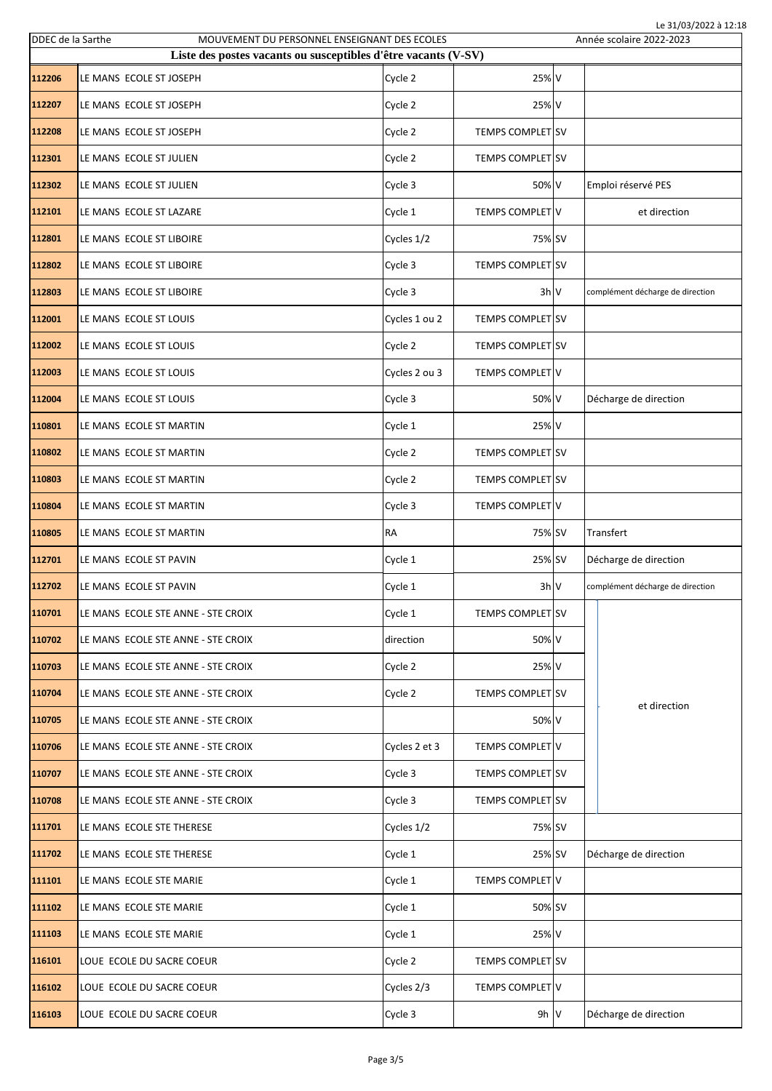| DDEC de la Sarthe |                                    | MOUVEMENT DU PERSONNEL ENSEIGNANT DES ECOLES                   |                         | Le 31/03/2022 à 12:18<br>Année scolaire 2022-2023 |
|-------------------|------------------------------------|----------------------------------------------------------------|-------------------------|---------------------------------------------------|
|                   |                                    | Liste des postes vacants ou susceptibles d'être vacants (V-SV) |                         |                                                   |
| 112206            | LE MANS ECOLE ST JOSEPH            | Cycle 2                                                        | 25% V                   |                                                   |
| 112207            | LE MANS ECOLE ST JOSEPH            | Cycle 2                                                        | 25% V                   |                                                   |
| 112208            | LE MANS ECOLE ST JOSEPH            | Cycle 2                                                        | <b>TEMPS COMPLET SV</b> |                                                   |
| 112301            | LE MANS ECOLE ST JULIEN            | Cycle 2                                                        | <b>TEMPS COMPLET SV</b> |                                                   |
| 112302            | LE MANS ECOLE ST JULIEN            | Cycle 3                                                        | 50% V                   | Emploi réservé PES                                |
| 112101            | LE MANS ECOLE ST LAZARE            | Cycle 1                                                        | TEMPS COMPLET V         | et direction                                      |
| 112801            | LE MANS ECOLE ST LIBOIRE           | Cycles 1/2                                                     | 75% SV                  |                                                   |
| 112802            | LE MANS ECOLE ST LIBOIRE           | Cycle 3                                                        | <b>TEMPS COMPLET SV</b> |                                                   |
| 112803            | LE MANS ECOLE ST LIBOIRE           | Cycle 3                                                        | $3h$ V                  | complément décharge de direction                  |
| 112001            | LE MANS ECOLE ST LOUIS             | Cycles 1 ou 2                                                  | <b>TEMPS COMPLET SV</b> |                                                   |
| 112002            | LE MANS ECOLE ST LOUIS             | Cycle 2                                                        | <b>TEMPS COMPLET SV</b> |                                                   |
| 112003            | LE MANS ECOLE ST LOUIS             | Cycles 2 ou 3                                                  | <b>TEMPS COMPLET V</b>  |                                                   |
| 112004            | LE MANS ECOLE ST LOUIS             | Cycle 3                                                        | 50% V                   | Décharge de direction                             |
| 110801            | LE MANS ECOLE ST MARTIN            | Cycle 1                                                        | 25% V                   |                                                   |
| 110802            | LE MANS ECOLE ST MARTIN            | Cycle 2                                                        | TEMPS COMPLET SV        |                                                   |
| 110803            | LE MANS ECOLE ST MARTIN            | Cycle 2                                                        | <b>TEMPS COMPLET SV</b> |                                                   |
| 110804            | LE MANS ECOLE ST MARTIN            | Cycle 3                                                        | TEMPS COMPLET V         |                                                   |
| 110805            | LE MANS ECOLE ST MARTIN            | <b>RA</b>                                                      | 75% SV                  | Transfert                                         |
| 112701            | LE MANS ECOLE ST PAVIN             | Cycle 1                                                        | 25% SV                  | Décharge de direction                             |
| 112702            | LE MANS ECOLE ST PAVIN             | Cycle 1                                                        | 3h V                    | complément décharge de direction                  |
| 110701            | LE MANS ECOLE STE ANNE - STE CROIX | Cycle 1                                                        | TEMPS COMPLET SV        |                                                   |
| 110702            | LE MANS ECOLE STE ANNE - STE CROIX | direction                                                      | 50% V                   |                                                   |
| 110703            | LE MANS ECOLE STE ANNE - STE CROIX | Cycle 2                                                        | 25% V                   |                                                   |
| 110704            | LE MANS ECOLE STE ANNE - STE CROIX | Cycle 2                                                        | TEMPS COMPLET SV        | et direction                                      |
| 110705            | LE MANS ECOLE STE ANNE - STE CROIX |                                                                | 50% V                   |                                                   |
| 110706            | LE MANS ECOLE STE ANNE - STE CROIX | Cycles 2 et 3                                                  | TEMPS COMPLET V         |                                                   |
| 110707            | LE MANS ECOLE STE ANNE - STE CROIX | Cycle 3                                                        | TEMPS COMPLET SV        |                                                   |
| 110708            | LE MANS ECOLE STE ANNE - STE CROIX | Cycle 3                                                        | TEMPS COMPLET SV        |                                                   |
| 111701            | LE MANS ECOLE STE THERESE          | Cycles 1/2                                                     | 75% SV                  |                                                   |
| 111702            | LE MANS ECOLE STE THERESE          | Cycle 1                                                        | 25% SV                  | Décharge de direction                             |
| 111101            | LE MANS ECOLE STE MARIE            | Cycle 1                                                        | <b>TEMPS COMPLET V</b>  |                                                   |
| 111102            | LE MANS ECOLE STE MARIE            | Cycle 1                                                        | 50% SV                  |                                                   |
| 111103            | LE MANS ECOLE STE MARIE            | Cycle 1                                                        | 25% V                   |                                                   |
| 116101            | LOUE ECOLE DU SACRE COEUR          | Cycle 2                                                        | TEMPS COMPLET SV        |                                                   |
| 116102            | LOUE ECOLE DU SACRE COEUR          | Cycles 2/3                                                     | <b>TEMPS COMPLET V</b>  |                                                   |
| 116103            | LOUE ECOLE DU SACRE COEUR          | Cycle 3                                                        | 9h V                    | Décharge de direction                             |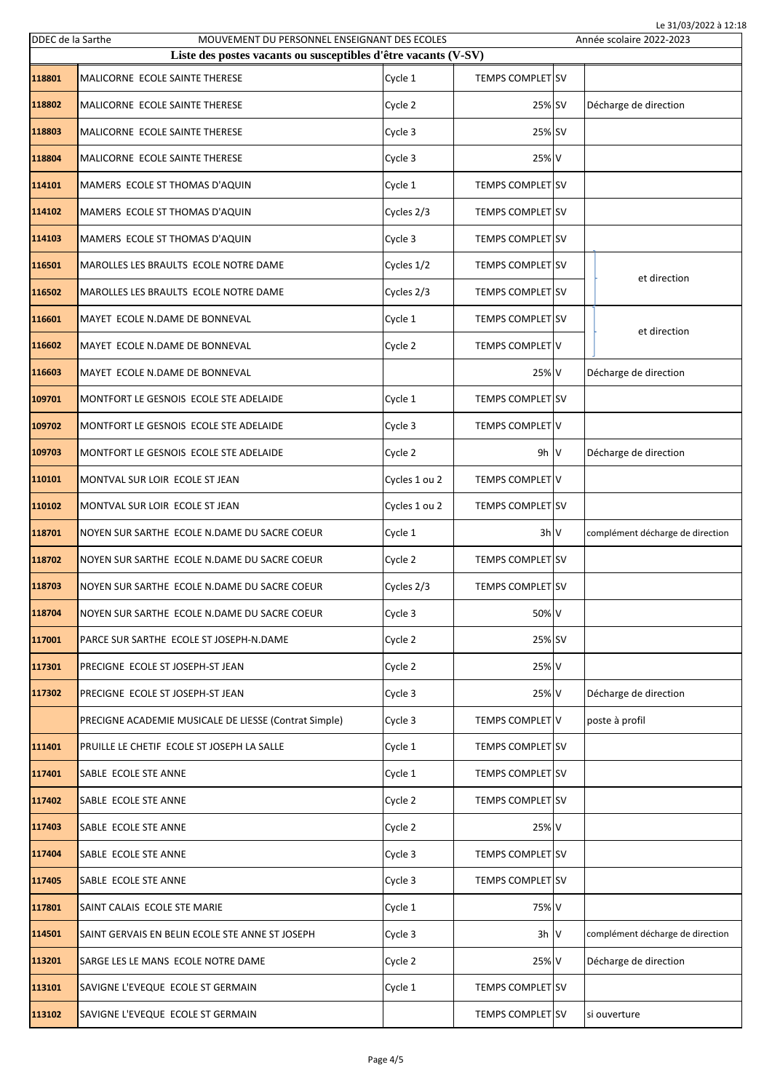| Le 31/03/2022 à 12:18<br>DDEC de la Sarthe<br>MOUVEMENT DU PERSONNEL ENSEIGNANT DES ECOLES<br>Année scolaire 2022-2023 |                                                                |               |                         |  |                                  |  |
|------------------------------------------------------------------------------------------------------------------------|----------------------------------------------------------------|---------------|-------------------------|--|----------------------------------|--|
|                                                                                                                        | Liste des postes vacants ou susceptibles d'être vacants (V-SV) |               |                         |  |                                  |  |
| 118801                                                                                                                 | MALICORNE ECOLE SAINTE THERESE                                 | Cycle 1       | <b>TEMPS COMPLET SV</b> |  |                                  |  |
| 118802                                                                                                                 | MALICORNE ECOLE SAINTE THERESE                                 | Cycle 2       | 25% SV                  |  | Décharge de direction            |  |
| 118803                                                                                                                 | MALICORNE ECOLE SAINTE THERESE                                 | Cycle 3       | 25% SV                  |  |                                  |  |
| 118804                                                                                                                 | MALICORNE ECOLE SAINTE THERESE                                 | Cycle 3       | 25% V                   |  |                                  |  |
| 114101                                                                                                                 | MAMERS ECOLE ST THOMAS D'AQUIN                                 | Cycle 1       | <b>TEMPS COMPLET SV</b> |  |                                  |  |
| 114102                                                                                                                 | MAMERS ECOLE ST THOMAS D'AQUIN                                 | Cycles 2/3    | <b>TEMPS COMPLET SV</b> |  |                                  |  |
| 114103                                                                                                                 | MAMERS ECOLE ST THOMAS D'AQUIN                                 | Cycle 3       | <b>TEMPS COMPLET SV</b> |  |                                  |  |
| 116501                                                                                                                 | MAROLLES LES BRAULTS ECOLE NOTRE DAME                          | Cycles 1/2    | <b>TEMPS COMPLET SV</b> |  | et direction                     |  |
| 116502                                                                                                                 | MAROLLES LES BRAULTS ECOLE NOTRE DAME                          | Cycles 2/3    | <b>TEMPS COMPLET SV</b> |  |                                  |  |
| 116601                                                                                                                 | MAYET ECOLE N.DAME DE BONNEVAL                                 | Cycle 1       | <b>TEMPS COMPLET SV</b> |  | et direction                     |  |
| 116602                                                                                                                 | MAYET ECOLE N.DAME DE BONNEVAL                                 | Cycle 2       | <b>TEMPS COMPLET V</b>  |  |                                  |  |
| 116603                                                                                                                 | MAYET ECOLE N.DAME DE BONNEVAL                                 |               | 25% V                   |  | Décharge de direction            |  |
| 109701                                                                                                                 | MONTFORT LE GESNOIS ECOLE STE ADELAIDE                         | Cycle 1       | <b>TEMPS COMPLET SV</b> |  |                                  |  |
| 109702                                                                                                                 | MONTFORT LE GESNOIS ECOLE STE ADELAIDE                         | Cycle 3       | <b>TEMPS COMPLET V</b>  |  |                                  |  |
| 109703                                                                                                                 | MONTFORT LE GESNOIS ECOLE STE ADELAIDE                         | Cycle 2       | $9h$ V                  |  | Décharge de direction            |  |
| 110101                                                                                                                 | MONTVAL SUR LOIR ECOLE ST JEAN                                 | Cycles 1 ou 2 | TEMPS COMPLET V         |  |                                  |  |
| 110102                                                                                                                 | MONTVAL SUR LOIR ECOLE ST JEAN                                 | Cycles 1 ou 2 | <b>TEMPS COMPLET SV</b> |  |                                  |  |
| 118701                                                                                                                 | NOYEN SUR SARTHE ECOLE N.DAME DU SACRE COEUR                   | Cycle 1       | 3h V                    |  | complément décharge de direction |  |
| 118702                                                                                                                 | NOYEN SUR SARTHE ECOLE N.DAME DU SACRE COEUR                   | Cycle 2       | TEMPS COMPLET SV        |  |                                  |  |
| 118703                                                                                                                 | NOYEN SUR SARTHE ECOLE N.DAME DU SACRE COEUR                   | Cycles 2/3    | <b>TEMPS COMPLET SV</b> |  |                                  |  |
| 118704                                                                                                                 | NOYEN SUR SARTHE ECOLE N.DAME DU SACRE COEUR                   | Cycle 3       | 50% V                   |  |                                  |  |
| 117001                                                                                                                 | PARCE SUR SARTHE ECOLE ST JOSEPH-N.DAME                        | Cycle 2       | 25% SV                  |  |                                  |  |
| 117301                                                                                                                 | PRECIGNE ECOLE ST JOSEPH-ST JEAN                               | Cycle 2       | 25% V                   |  |                                  |  |
| 117302                                                                                                                 | PRECIGNE ECOLE ST JOSEPH-ST JEAN                               | Cycle 3       | 25% V                   |  | Décharge de direction            |  |
|                                                                                                                        | PRECIGNE ACADEMIE MUSICALE DE LIESSE (Contrat Simple)          | Cycle 3       | TEMPS COMPLET V         |  | poste à profil                   |  |
| 111401                                                                                                                 | PRUILLE LE CHETIF ECOLE ST JOSEPH LA SALLE                     | Cycle 1       | <b>TEMPS COMPLET SV</b> |  |                                  |  |
| 117401                                                                                                                 | SABLE ECOLE STE ANNE                                           | Cycle 1       | TEMPS COMPLET SV        |  |                                  |  |
| 117402                                                                                                                 | SABLE ECOLE STE ANNE                                           | Cycle 2       | TEMPS COMPLET SV        |  |                                  |  |
| 117403                                                                                                                 | SABLE ECOLE STE ANNE                                           | Cycle 2       | 25% V                   |  |                                  |  |
| 117404                                                                                                                 | SABLE ECOLE STE ANNE                                           | Cycle 3       | TEMPS COMPLET SV        |  |                                  |  |
| 117405                                                                                                                 | SABLE ECOLE STE ANNE                                           | Cycle 3       | TEMPS COMPLET SV        |  |                                  |  |
| 117801                                                                                                                 | SAINT CALAIS ECOLE STE MARIE                                   | Cycle 1       | 75% V                   |  |                                  |  |
| 114501                                                                                                                 | SAINT GERVAIS EN BELIN ECOLE STE ANNE ST JOSEPH                | Cycle 3       | $3h$ V                  |  | complément décharge de direction |  |
| 113201                                                                                                                 | SARGE LES LE MANS ECOLE NOTRE DAME                             | Cycle 2       | 25% V                   |  | Décharge de direction            |  |
| 113101                                                                                                                 | SAVIGNE L'EVEQUE ECOLE ST GERMAIN                              | Cycle 1       | TEMPS COMPLET SV        |  |                                  |  |
| 113102                                                                                                                 | SAVIGNE L'EVEQUE ECOLE ST GERMAIN                              |               | TEMPS COMPLET SV        |  | si ouverture                     |  |